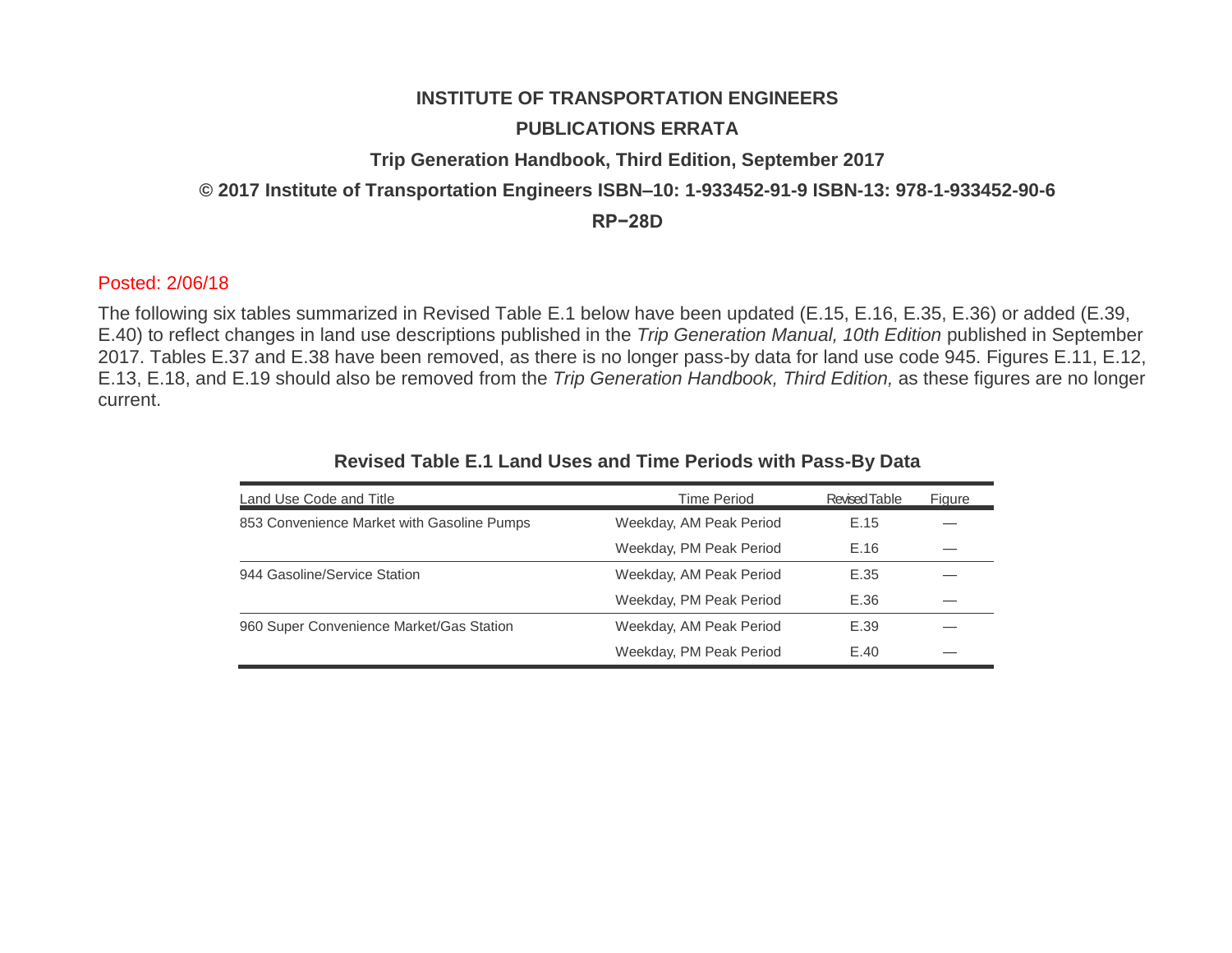# **INSTITUTE OF TRANSPORTATION ENGINEERS**

## **PUBLICATIONS ERRATA**

#### **Trip Generation Handbook, Third Edition, September 2017**

#### **© 2017 Institute of Transportation Engineers ISBN–10: 1-933452-91-9 ISBN-13: 978-1-933452-90-6**

**RP−28D**

## Posted: 2/06/18

The following six tables summarized in Revised Table E.1 below have been updated (E.15, E.16, E.35, E.36) or added (E.39, E.40) to reflect changes in land use descriptions published in the *Trip Generation Manual, 10th Edition* published in September 2017. Tables E.37 and E.38 have been removed, as there is no longer pass-by data for land use code 945. Figures E.11, E.12, E.13, E.18, and E.19 should also be removed from the *Trip Generation Handbook, Third Edition,* as these figures are no longer current.

| Land Use Code and Title                    | <b>Time Period</b>      | <b>Revised Table</b> | Figure |
|--------------------------------------------|-------------------------|----------------------|--------|
| 853 Convenience Market with Gasoline Pumps | Weekday, AM Peak Period | E.15                 |        |
|                                            | Weekday, PM Peak Period | E.16                 |        |
| 944 Gasoline/Service Station               | Weekday, AM Peak Period | E.35                 |        |
|                                            | Weekday, PM Peak Period | E.36                 |        |
| 960 Super Convenience Market/Gas Station   | Weekday, AM Peak Period | E.39                 |        |
|                                            | Weekday, PM Peak Period | E.40                 |        |

#### **Revised Table E.1 Land Uses and Time Periods with Pass-By Data**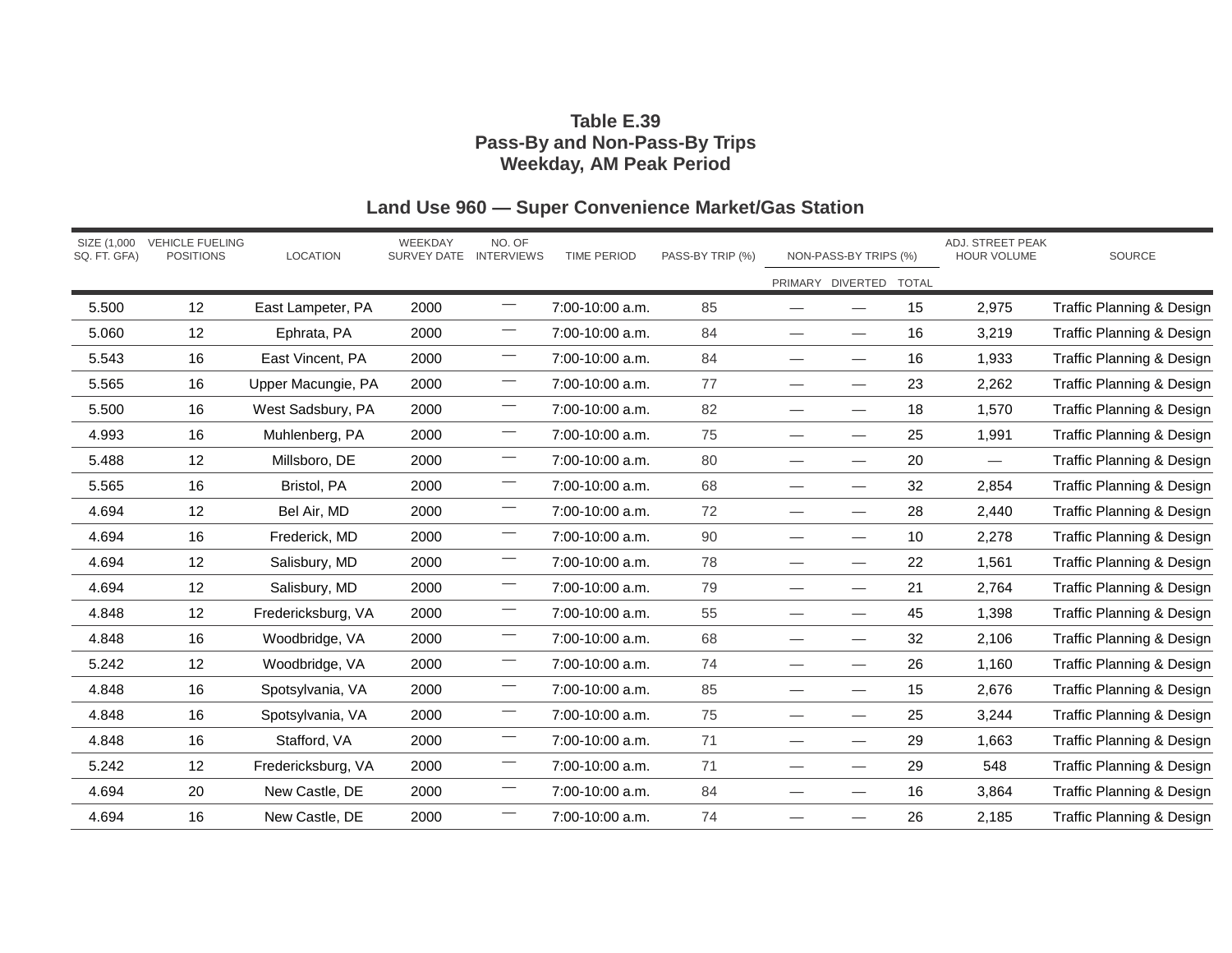## **Table E.39 Pass-By and Non-Pass-By Trips Weekday, AM Peak Period**

| SQ. FT. GFA) | SIZE (1,000 VEHICLE FUELING<br><b>POSITIONS</b> | <b>LOCATION</b>    | WEEKDAY<br>SURVEY DATE INTERVIEWS | NO. OF                         | <b>TIME PERIOD</b> | PASS-BY TRIP (%) |                               | NON-PASS-BY TRIPS (%)    |              | ADJ. STREET PEAK<br>HOUR VOLUME | SOURCE                               |
|--------------|-------------------------------------------------|--------------------|-----------------------------------|--------------------------------|--------------------|------------------|-------------------------------|--------------------------|--------------|---------------------------------|--------------------------------------|
|              |                                                 |                    |                                   |                                |                    |                  |                               | PRIMARY DIVERTED         | <b>TOTAL</b> |                                 |                                      |
| 5.500        | 12                                              | East Lampeter, PA  | 2000                              | $\overline{\phantom{0}}$       | 7:00-10:00 a.m.    | 85               |                               |                          | 15           | 2,975                           | <b>Traffic Planning &amp; Design</b> |
| 5.060        | 12                                              | Ephrata, PA        | 2000                              |                                | 7:00-10:00 a.m.    | 84               |                               | $\overline{\phantom{0}}$ | 16           | 3,219                           | Traffic Planning & Design            |
| 5.543        | 16                                              | East Vincent, PA   | 2000                              | $\overline{\phantom{0}}$       | 7:00-10:00 a.m.    | 84               |                               | $\overline{\phantom{0}}$ | 16           | 1,933                           | <b>Traffic Planning &amp; Design</b> |
| 5.565        | 16                                              | Upper Macungie, PA | 2000                              |                                | 7:00-10:00 a.m.    | 77               |                               |                          | 23           | 2,262                           | <b>Traffic Planning &amp; Design</b> |
| 5.500        | 16                                              | West Sadsbury, PA  | 2000                              |                                | 7:00-10:00 a.m.    | 82               | $\overbrace{\phantom{aaaaa}}$ | $\overline{\phantom{0}}$ | 18           | 1,570                           | Traffic Planning & Design            |
| 4.993        | 16                                              | Muhlenberg, PA     | 2000                              | $\overline{\phantom{0}}$       | 7:00-10:00 a.m.    | 75               |                               |                          | 25           | 1,991                           | <b>Traffic Planning &amp; Design</b> |
| 5.488        | 12                                              | Millsboro, DE      | 2000                              | $\overbrace{\phantom{13333}}$  | 7:00-10:00 a.m.    | 80               | $\overbrace{\phantom{aaaaa}}$ | $\overline{\phantom{0}}$ | 20           | $\overline{\phantom{0}}$        | <b>Traffic Planning &amp; Design</b> |
| 5.565        | 16                                              | Bristol, PA        | 2000                              | $\qquad \qquad$                | 7:00-10:00 a.m.    | 68               | $\overline{\phantom{0}}$      |                          | 32           | 2,854                           | <b>Traffic Planning &amp; Design</b> |
| 4.694        | 12                                              | Bel Air, MD        | 2000                              |                                | 7:00-10:00 a.m.    | 72               | $\overbrace{\phantom{aaaaa}}$ | $\overline{\phantom{0}}$ | 28           | 2,440                           | <b>Traffic Planning &amp; Design</b> |
| 4.694        | 16                                              | Frederick, MD      | 2000                              | $\overline{\phantom{0}}$       | 7:00-10:00 a.m.    | 90               | $\overbrace{\phantom{aaaaa}}$ | $\overline{\phantom{0}}$ | 10           | 2,278                           | Traffic Planning & Design            |
| 4.694        | 12                                              | Salisbury, MD      | 2000                              | $\overline{\phantom{0}}$       | 7:00-10:00 a.m.    | 78               | $\overbrace{\phantom{aaaaa}}$ | $\overline{\phantom{0}}$ | 22           | 1,561                           | Traffic Planning & Design            |
| 4.694        | 12                                              | Salisbury, MD      | 2000                              | $\overline{\phantom{0}}$       | 7:00-10:00 a.m.    | 79               |                               |                          | 21           | 2,764                           | Traffic Planning & Design            |
| 4.848        | 12                                              | Fredericksburg, VA | 2000                              | $\overline{\phantom{0}}$       | 7:00-10:00 a.m.    | 55               | $\overbrace{\phantom{aaaaa}}$ | $\overline{\phantom{0}}$ | 45           | 1,398                           | <b>Traffic Planning &amp; Design</b> |
| 4.848        | 16                                              | Woodbridge, VA     | 2000                              | $\overline{\phantom{m}}$       | 7:00-10:00 a.m.    | 68               |                               | $\hspace{0.05cm}$        | 32           | 2,106                           | Traffic Planning & Design            |
| 5.242        | 12                                              | Woodbridge, VA     | 2000                              | $\overline{\phantom{0}}$       | 7:00-10:00 a.m.    | 74               | $\overbrace{\phantom{13333}}$ |                          | 26           | 1,160                           | <b>Traffic Planning &amp; Design</b> |
| 4.848        | 16                                              | Spotsylvania, VA   | 2000                              | $\overline{\phantom{0}}$       | 7:00-10:00 a.m.    | 85               | $\overbrace{\phantom{aaaaa}}$ | $\overline{\phantom{0}}$ | 15           | 2,676                           | Traffic Planning & Design            |
| 4.848        | 16                                              | Spotsylvania, VA   | 2000                              | $\qquad \qquad \longleftarrow$ | 7:00-10:00 a.m.    | 75               | $\overbrace{\phantom{aaaaa}}$ | $\overline{\phantom{0}}$ | 25           | 3,244                           | Traffic Planning & Design            |
| 4.848        | 16                                              | Stafford, VA       | 2000                              | $\overline{\phantom{0}}$       | 7:00-10:00 a.m.    | 71               | $\overline{\phantom{0}}$      |                          | 29           | 1,663                           | Traffic Planning & Design            |
| 5.242        | 12                                              | Fredericksburg, VA | 2000                              | $\overline{\phantom{0}}$       | 7:00-10:00 a.m.    | 71               | $\overbrace{\phantom{13333}}$ | $\overline{\phantom{0}}$ | 29           | 548                             | Traffic Planning & Design            |
| 4.694        | 20                                              | New Castle, DE     | 2000                              | $\overline{\phantom{m}}$       | 7:00-10:00 a.m.    | 84               | $\overbrace{\phantom{aaaaa}}$ | $\hspace{0.05cm}$        | 16           | 3,864                           | <b>Traffic Planning &amp; Design</b> |
| 4.694        | 16                                              | New Castle, DE     | 2000                              |                                | 7:00-10:00 a.m.    | 74               |                               |                          | 26           | 2,185                           | Traffic Planning & Design            |

# **Land Use 960 — Super Convenience Market/Gas Station**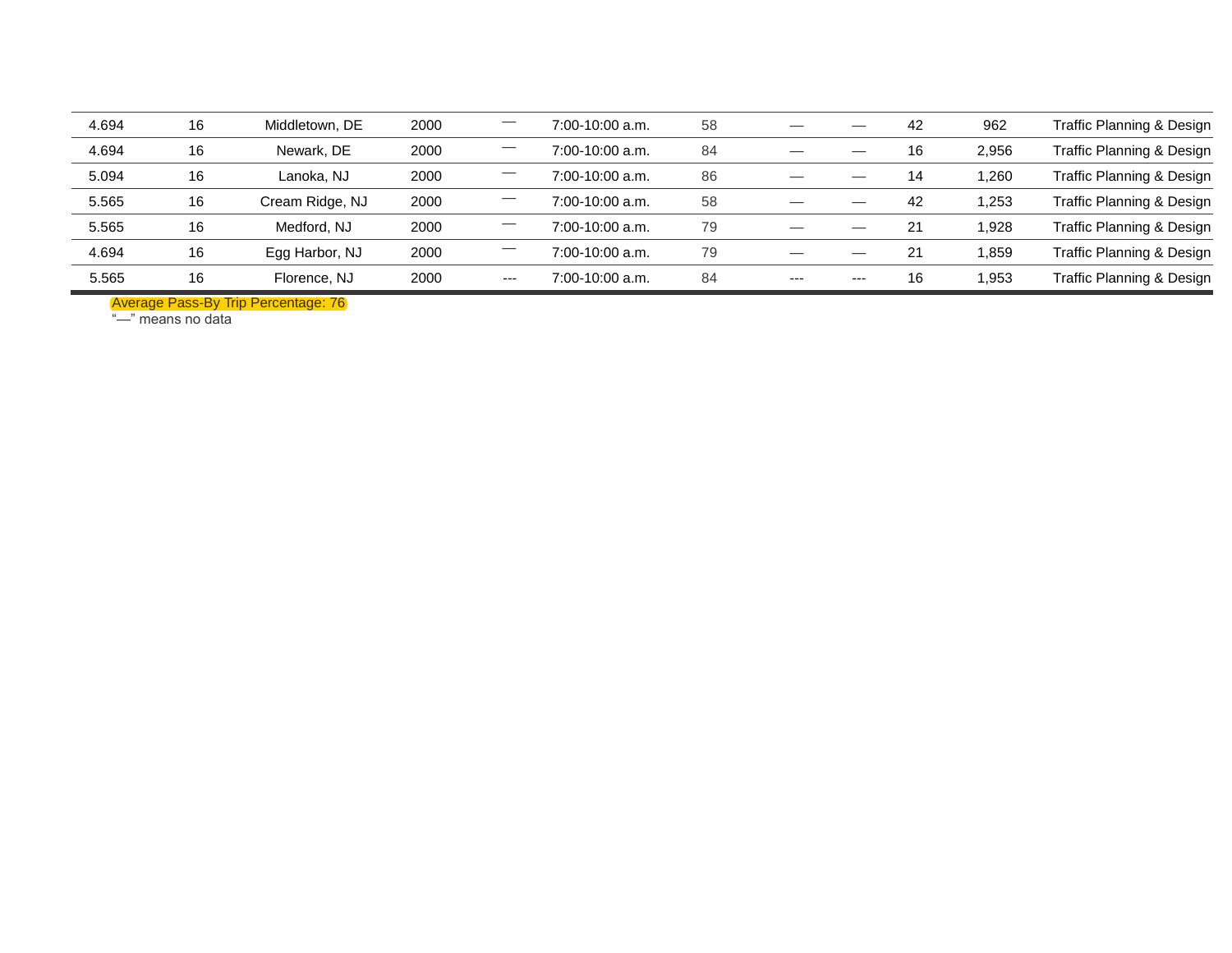| 4.694 | 16 | Middletown, DE  | 2000 |                               | 7:00-10:00 a.m.   | 58 |      | --    | 42 | 962   | Traffic Planning & Design |
|-------|----|-----------------|------|-------------------------------|-------------------|----|------|-------|----|-------|---------------------------|
| 4.694 | 16 | Newark, DE      | 2000 |                               | 7:00-10:00 a.m.   | 84 |      |       | 16 | 2,956 | Traffic Planning & Design |
| 5.094 | 16 | Lanoka, NJ      | 2000 | $\overbrace{\phantom{13333}}$ | $7:00-10:00$ a.m. | 86 |      |       | 14 | 1.260 | Traffic Planning & Design |
| 5.565 | 16 | Cream Ridge, NJ | 2000 | —                             | $7:00-10:00$ a.m. | 58 | --   |       | 42 | 1,253 | Traffic Planning & Design |
| 5.565 | 16 | Medford, NJ     | 2000 |                               | 7:00-10:00 a.m.   | 79 |      |       | 21 | 1,928 | Traffic Planning & Design |
| 4.694 | 16 | Egg Harbor, NJ  | 2000 |                               | 7:00-10:00 a.m.   | 79 |      |       | 21 | 1,859 | Traffic Planning & Design |
| 5.565 | 16 | Florence, NJ    | 2000 | $--$                          | 7:00-10:00 a.m.   | 84 | $--$ | $---$ | 16 | 1.953 | Traffic Planning & Design |

Average Pass-By Trip Percentage: 76

"—" means no data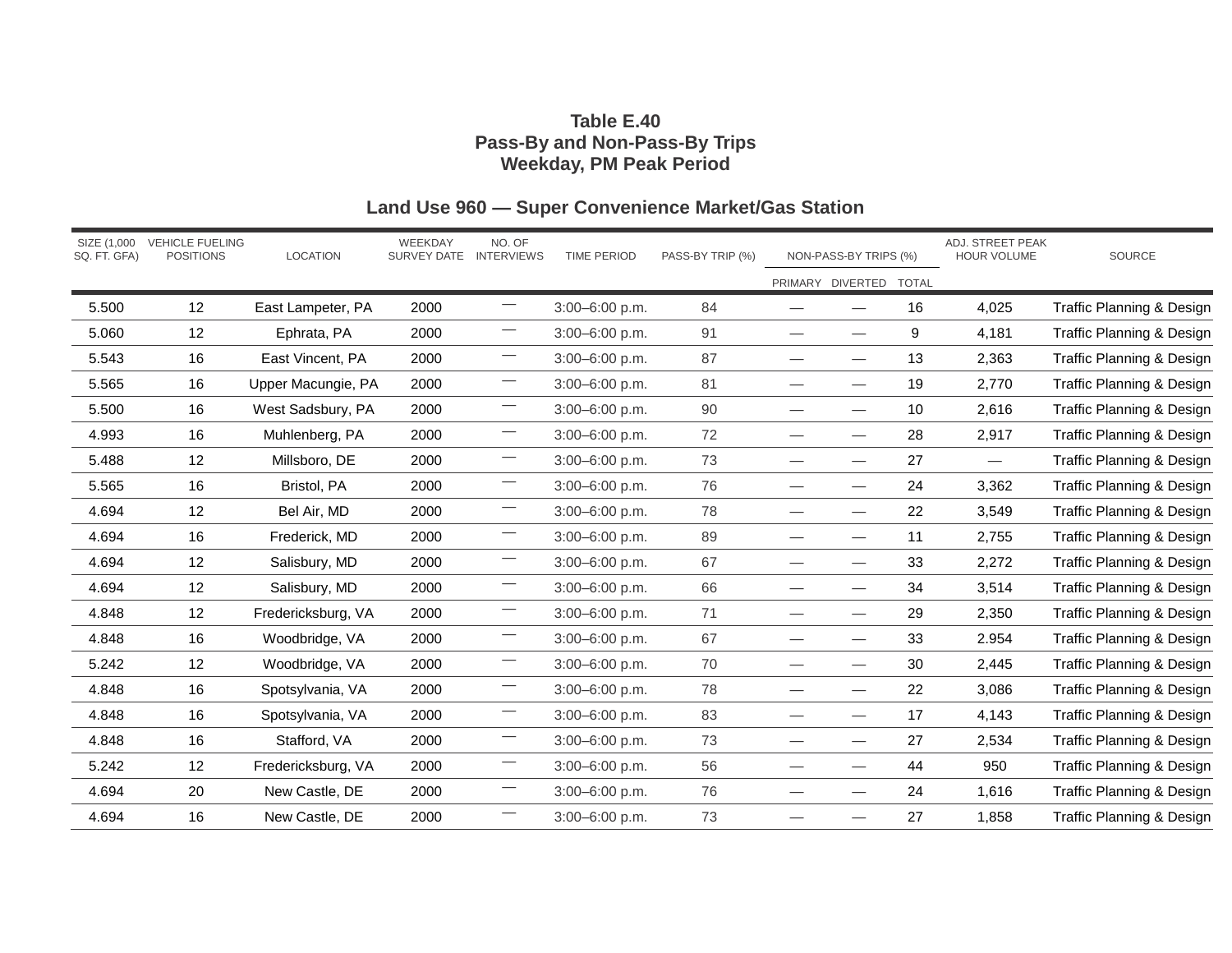## **Table E.40 Pass-By and Non-Pass-By Trips Weekday, PM Peak Period**

| SQ. FT. GFA) | SIZE (1,000 VEHICLE FUELING<br><b>POSITIONS</b> | <b>LOCATION</b>    | WEEKDAY<br>SURVEY DATE INTERVIEWS | NO. OF                        | <b>TIME PERIOD</b> | PASS-BY TRIP (%) | NON-PASS-BY TRIPS (%)           |                          | ADJ. STREET PEAK<br><b>HOUR VOLUME</b> |                                 | SOURCE                               |
|--------------|-------------------------------------------------|--------------------|-----------------------------------|-------------------------------|--------------------|------------------|---------------------------------|--------------------------|----------------------------------------|---------------------------------|--------------------------------------|
|              |                                                 |                    |                                   |                               |                    |                  |                                 | PRIMARY DIVERTED TOTAL   |                                        |                                 |                                      |
| 5.500        | 12                                              | East Lampeter, PA  | 2000                              | $\overline{\phantom{0}}$      | 3:00-6:00 p.m.     | 84               | $\overline{\phantom{0}}$        | $\overline{\phantom{0}}$ | 16                                     | 4,025                           | Traffic Planning & Design            |
| 5.060        | 12                                              | Ephrata, PA        | 2000                              | $\overbrace{\phantom{13333}}$ | 3:00-6:00 p.m.     | 91               |                                 | $\overline{\phantom{0}}$ | 9                                      | 4,181                           | <b>Traffic Planning &amp; Design</b> |
| 5.543        | 16                                              | East Vincent, PA   | 2000                              |                               | $3:00 - 6:00$ p.m. | 87               | $\overbrace{\phantom{aaaaa}}$   | $\overline{\phantom{0}}$ | 13                                     | 2,363                           | Traffic Planning & Design            |
| 5.565        | 16                                              | Upper Macungie, PA | 2000                              |                               | 3:00-6:00 p.m.     | 81               | $\overbrace{\phantom{aaaaa}}$   | $\overline{\phantom{0}}$ | 19                                     | 2,770                           | <b>Traffic Planning &amp; Design</b> |
| 5.500        | 16                                              | West Sadsbury, PA  | 2000                              |                               | 3:00-6:00 p.m.     | 90               |                                 | $\overline{\phantom{0}}$ | 10                                     | 2,616                           | <b>Traffic Planning &amp; Design</b> |
| 4.993        | 16                                              | Muhlenberg, PA     | 2000                              |                               | 3:00-6:00 p.m.     | $72\,$           | $\overbrace{\phantom{aaaaa}}$   | $\overline{\phantom{0}}$ | 28                                     | 2,917                           | Traffic Planning & Design            |
| 5.488        | 12                                              | Millsboro, DE      | 2000                              | $\overline{\phantom{0}}$      | $3:00 - 6:00$ p.m. | 73               | $\overbrace{\phantom{aaaaa}}$   |                          | 27                                     | $\hspace{0.1mm}-\hspace{0.1mm}$ | Traffic Planning & Design            |
| 5.565        | 16                                              | Bristol, PA        | 2000                              | $\overline{\phantom{0}}$      | $3:00 - 6:00$ p.m. | 76               |                                 |                          | 24                                     | 3,362                           | Traffic Planning & Design            |
| 4.694        | 12                                              | Bel Air, MD        | 2000                              | $\qquad \qquad$               | 3:00-6:00 p.m.     | 78               |                                 |                          | 22                                     | 3,549                           | <b>Traffic Planning &amp; Design</b> |
| 4.694        | 16                                              | Frederick, MD      | 2000                              | $\overline{\phantom{0}}$      | 3:00-6:00 p.m.     | 89               | $\overbrace{\phantom{aaaaa}}$   | $\overline{\phantom{0}}$ | 11                                     | 2,755                           | Traffic Planning & Design            |
| 4.694        | 12                                              | Salisbury, MD      | 2000                              | $\overline{\phantom{0}}$      | 3:00-6:00 p.m.     | 67               | $\overline{\phantom{0}}$        | $\overline{\phantom{0}}$ | 33                                     | 2,272                           | Traffic Planning & Design            |
| 4.694        | 12                                              | Salisbury, MD      | 2000                              | $\overline{\phantom{0}}$      | 3:00-6:00 p.m.     | 66               |                                 |                          | 34                                     | 3,514                           | <b>Traffic Planning &amp; Design</b> |
| 4.848        | 12                                              | Fredericksburg, VA | 2000                              | $\overline{\phantom{0}}$      | 3:00-6:00 p.m.     | 71               |                                 |                          | 29                                     | 2,350                           | <b>Traffic Planning &amp; Design</b> |
| 4.848        | 16                                              | Woodbridge, VA     | 2000                              | $\overline{\phantom{0}}$      | 3:00-6:00 p.m.     | 67               | $\overbrace{\phantom{aaaaa}}$   | $\overline{\phantom{0}}$ | 33                                     | 2.954                           | <b>Traffic Planning &amp; Design</b> |
| 5.242        | 12                                              | Woodbridge, VA     | 2000                              |                               | $3:00 - 6:00$ p.m. | 70               |                                 |                          | 30                                     | 2,445                           | Traffic Planning & Design            |
| 4.848        | 16                                              | Spotsylvania, VA   | 2000                              | $\overline{\phantom{0}}$      | 3:00-6:00 p.m.     | 78               | $\hspace{0.1mm}-\hspace{0.1mm}$ | $\overline{\phantom{0}}$ | 22                                     | 3,086                           | Traffic Planning & Design            |
| 4.848        | 16                                              | Spotsylvania, VA   | 2000                              |                               | 3:00-6:00 p.m.     | 83               | $\overbrace{\phantom{aaaaa}}$   | $\overline{\phantom{0}}$ | 17                                     | 4,143                           | Traffic Planning & Design            |
| 4.848        | 16                                              | Stafford, VA       | 2000                              | $\overline{\phantom{0}}$      | 3:00-6:00 p.m.     | 73               |                                 |                          | 27                                     | 2,534                           | <b>Traffic Planning &amp; Design</b> |
| 5.242        | 12                                              | Fredericksburg, VA | 2000                              | $\overline{\phantom{0}}$      | $3:00 - 6:00$ p.m. | 56               | $\overbrace{\phantom{12333}}$   |                          | 44                                     | 950                             | Traffic Planning & Design            |
| 4.694        | 20                                              | New Castle, DE     | 2000                              |                               | 3:00-6:00 p.m.     | 76               | $\overbrace{\phantom{aaaaa}}$   | $\overline{\phantom{0}}$ | 24                                     | 1,616                           | <b>Traffic Planning &amp; Design</b> |
| 4.694        | 16                                              | New Castle, DE     | 2000                              |                               | 3:00-6:00 p.m.     | 73               |                                 |                          | 27                                     | 1,858                           | Traffic Planning & Design            |

# **Land Use 960 — Super Convenience Market/Gas Station**